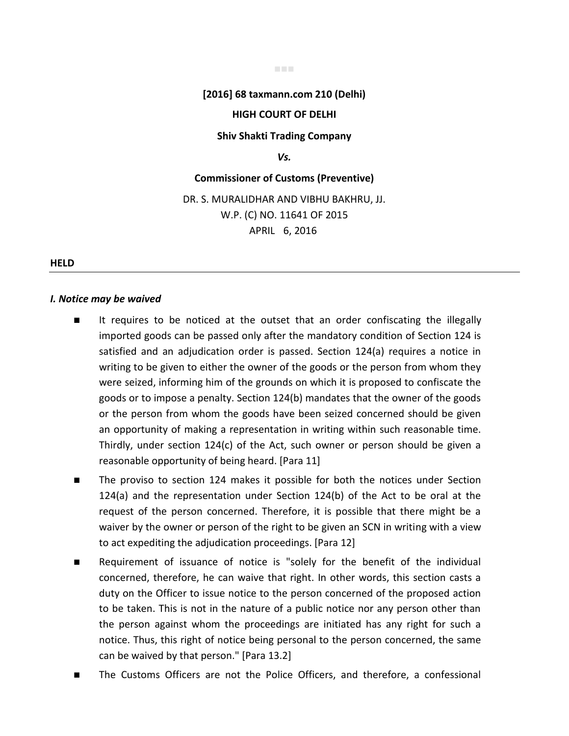### **[2016] 68 taxmann.com 210 (Delhi)**

### **HIGH COURT OF DELHI**

**Shiv Shakti Trading Company** 

### *Vs.*

# **Commissioner of Customs (Preventive)**

# DR. S. MURALIDHAR AND VIBHU BAKHRU, JJ. W.P. (C) NO. 11641 OF 2015 APRIL 6, 2016

### **HELD**

### *I. Notice may be waived*

- It requires to be noticed at the outset that an order confiscating the illegally imported goods can be passed only after the mandatory condition of Section 124 is satisfied and an adjudication order is passed. Section 124(a) requires a notice in writing to be given to either the owner of the goods or the person from whom they were seized, informing him of the grounds on which it is proposed to confiscate the goods or to impose a penalty. Section 124(b) mandates that the owner of the goods or the person from whom the goods have been seized concerned should be given an opportunity of making a representation in writing within such reasonable time. Thirdly, under section 124(c) of the Act, such owner or person should be given a reasonable opportunity of being heard. [Para 11]
- The proviso to section 124 makes it possible for both the notices under Section 124(a) and the representation under Section 124(b) of the Act to be oral at the request of the person concerned. Therefore, it is possible that there might be a waiver by the owner or person of the right to be given an SCN in writing with a view to act expediting the adjudication proceedings. [Para 12]
- Requirement of issuance of notice is "solely for the benefit of the individual concerned, therefore, he can waive that right. In other words, this section casts a duty on the Officer to issue notice to the person concerned of the proposed action to be taken. This is not in the nature of a public notice nor any person other than the person against whom the proceedings are initiated has any right for such a notice. Thus, this right of notice being personal to the person concerned, the same can be waived by that person." [Para 13.2]
- The Customs Officers are not the Police Officers, and therefore, a confessional

### ■■■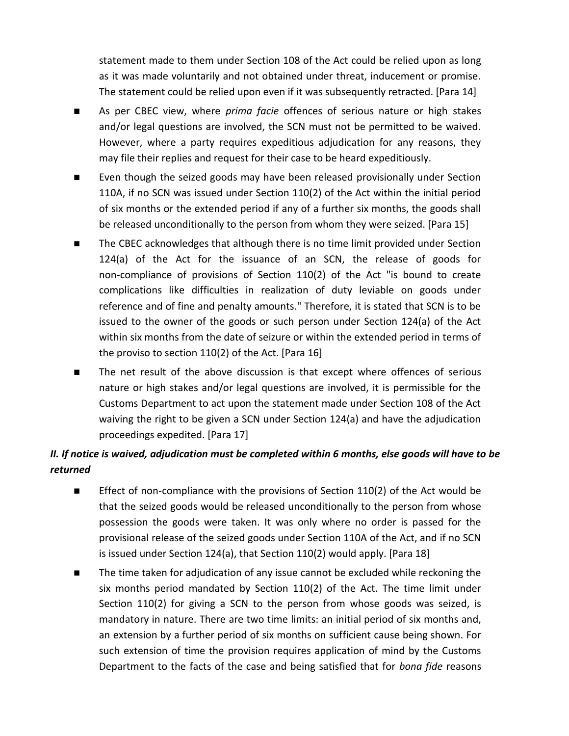statement made to them under Section 108 of the Act could be relied upon as long as it was made voluntarily and not obtained under threat, inducement or promise. The statement could be relied upon even if it was subsequently retracted. [Para 14]

- As per CBEC view, where *prima facie* offences of serious nature or high stakes and/or legal questions are involved, the SCN must not be permitted to be waived. However, where a party requires expeditious adjudication for any reasons, they may file their replies and request for their case to be heard expeditiously.
- Even though the seized goods may have been released provisionally under Section 110A, if no SCN was issued under Section 110(2) of the Act within the initial period of six months or the extended period if any of a further six months, the goods shall be released unconditionally to the person from whom they were seized. [Para 15]
- The CBEC acknowledges that although there is no time limit provided under Section 124(a) of the Act for the issuance of an SCN, the release of goods for non-compliance of provisions of Section 110(2) of the Act "is bound to create complications like difficulties in realization of duty leviable on goods under reference and of fine and penalty amounts." Therefore, it is stated that SCN is to be issued to the owner of the goods or such person under Section 124(a) of the Act within six months from the date of seizure or within the extended period in terms of the proviso to section 110(2) of the Act. [Para 16]
- The net result of the above discussion is that except where offences of serious nature or high stakes and/or legal questions are involved, it is permissible for the Customs Department to act upon the statement made under Section 108 of the Act waiving the right to be given a SCN under Section 124(a) and have the adjudication proceedings expedited. [Para 17]

# *II. If notice is waived, adjudication must be completed within 6 months, else goods will have to be returned*

- Effect of non-compliance with the provisions of Section 110(2) of the Act would be that the seized goods would be released unconditionally to the person from whose possession the goods were taken. It was only where no order is passed for the provisional release of the seized goods under Section 110A of the Act, and if no SCN is issued under Section 124(a), that Section 110(2) would apply. [Para 18]
- The time taken for adjudication of any issue cannot be excluded while reckoning the six months period mandated by Section 110(2) of the Act. The time limit under Section 110(2) for giving a SCN to the person from whose goods was seized, is mandatory in nature. There are two time limits: an initial period of six months and, an extension by a further period of six months on sufficient cause being shown. For such extension of time the provision requires application of mind by the Customs Department to the facts of the case and being satisfied that for *bona fide* reasons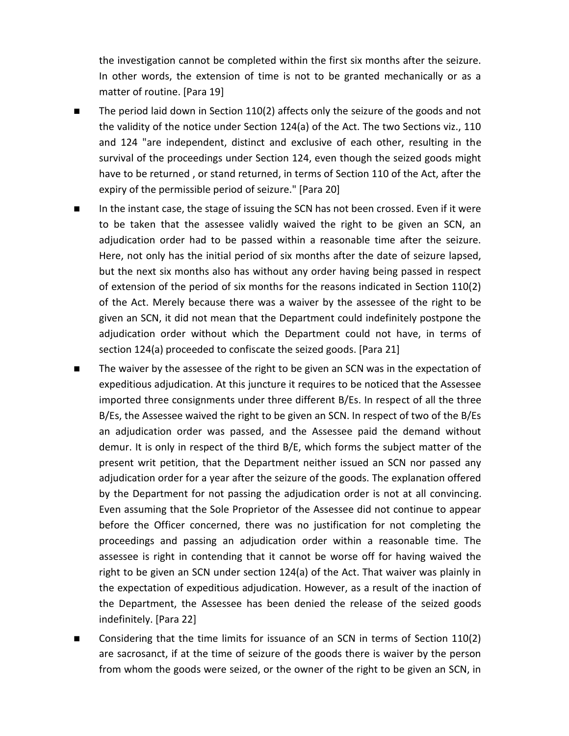the investigation cannot be completed within the first six months after the seizure. In other words, the extension of time is not to be granted mechanically or as a matter of routine. [Para 19]

- The period laid down in Section 110(2) affects only the seizure of the goods and not the validity of the notice under Section 124(a) of the Act. The two Sections viz., 110 and 124 "are independent, distinct and exclusive of each other, resulting in the survival of the proceedings under Section 124, even though the seized goods might have to be returned , or stand returned, in terms of Section 110 of the Act, after the expiry of the permissible period of seizure." [Para 20]
- In the instant case, the stage of issuing the SCN has not been crossed. Even if it were to be taken that the assessee validly waived the right to be given an SCN, an adjudication order had to be passed within a reasonable time after the seizure. Here, not only has the initial period of six months after the date of seizure lapsed, but the next six months also has without any order having being passed in respect of extension of the period of six months for the reasons indicated in Section 110(2) of the Act. Merely because there was a waiver by the assessee of the right to be given an SCN, it did not mean that the Department could indefinitely postpone the adjudication order without which the Department could not have, in terms of section 124(a) proceeded to confiscate the seized goods. [Para 21]
- The waiver by the assessee of the right to be given an SCN was in the expectation of expeditious adjudication. At this juncture it requires to be noticed that the Assessee imported three consignments under three different B/Es. In respect of all the three B/Es, the Assessee waived the right to be given an SCN. In respect of two of the B/Es an adjudication order was passed, and the Assessee paid the demand without demur. It is only in respect of the third B/E, which forms the subject matter of the present writ petition, that the Department neither issued an SCN nor passed any adjudication order for a year after the seizure of the goods. The explanation offered by the Department for not passing the adjudication order is not at all convincing. Even assuming that the Sole Proprietor of the Assessee did not continue to appear before the Officer concerned, there was no justification for not completing the proceedings and passing an adjudication order within a reasonable time. The assessee is right in contending that it cannot be worse off for having waived the right to be given an SCN under section 124(a) of the Act. That waiver was plainly in the expectation of expeditious adjudication. However, as a result of the inaction of the Department, the Assessee has been denied the release of the seized goods indefinitely. [Para 22]
- Considering that the time limits for issuance of an SCN in terms of Section 110(2) are sacrosanct, if at the time of seizure of the goods there is waiver by the person from whom the goods were seized, or the owner of the right to be given an SCN, in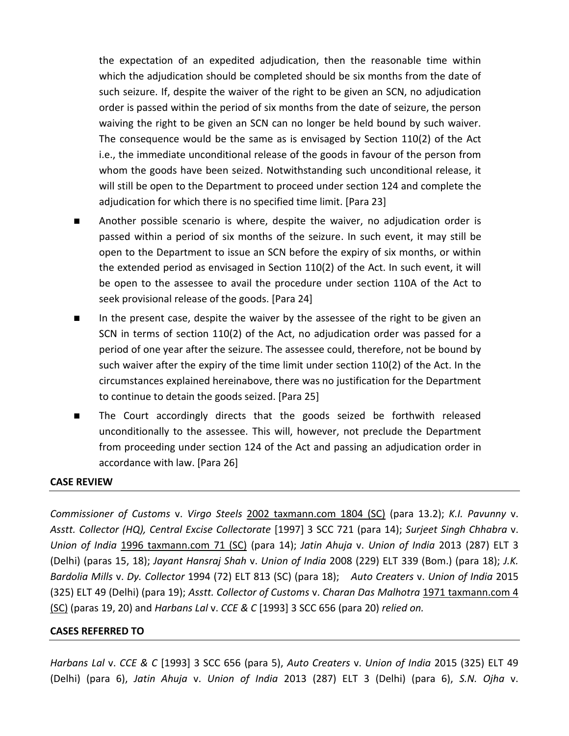the expectation of an expedited adjudication, then the reasonable time within which the adjudication should be completed should be six months from the date of such seizure. If, despite the waiver of the right to be given an SCN, no adjudication order is passed within the period of six months from the date of seizure, the person waiving the right to be given an SCN can no longer be held bound by such waiver. The consequence would be the same as is envisaged by Section 110(2) of the Act i.e., the immediate unconditional release of the goods in favour of the person from whom the goods have been seized. Notwithstanding such unconditional release, it will still be open to the Department to proceed under section 124 and complete the adjudication for which there is no specified time limit. [Para 23]

- Another possible scenario is where, despite the waiver, no adjudication order is passed within a period of six months of the seizure. In such event, it may still be open to the Department to issue an SCN before the expiry of six months, or within the extended period as envisaged in Section 110(2) of the Act. In such event, it will be open to the assessee to avail the procedure under section 110A of the Act to seek provisional release of the goods. [Para 24]
- In the present case, despite the waiver by the assessee of the right to be given an SCN in terms of section 110(2) of the Act, no adjudication order was passed for a period of one year after the seizure. The assessee could, therefore, not be bound by such waiver after the expiry of the time limit under section 110(2) of the Act. In the circumstances explained hereinabove, there was no justification for the Department to continue to detain the goods seized. [Para 25]
- The Court accordingly directs that the goods seized be forthwith released unconditionally to the assessee. This will, however, not preclude the Department from proceeding under section 124 of the Act and passing an adjudication order in accordance with law. [Para 26]

### **CASE REVIEW**

*Commissioner of Customs* v. *Virgo Steels* 2002 taxmann.com 1804 (SC) (para 13.2); *K.I. Pavunny* v. *Asstt. Collector (HQ), Central Excise Collectorate* [1997] 3 SCC 721 (para 14); *Surjeet Singh Chhabra* v. *Union of India* 1996 taxmann.com 71 (SC) (para 14); *Jatin Ahuja* v. *Union of India* 2013 (287) ELT 3 (Delhi) (paras 15, 18); *Jayant Hansraj Shah* v. *Union of India* 2008 (229) ELT 339 (Bom.) (para 18); *J.K. Bardolia Mills* v. *Dy. Collector* 1994 (72) ELT 813 (SC) (para 18); *Auto Creaters* v. *Union of India* 2015 (325) ELT 49 (Delhi) (para 19); *Asstt. Collector of Customs* v. *Charan Das Malhotra* 1971 taxmann.com 4 (SC) (paras 19, 20) and *Harbans Lal* v. *CCE & C* [1993] 3 SCC 656 (para 20) *relied on.*

### **CASES REFERRED TO**

*Harbans Lal* v. *CCE & C* [1993] 3 SCC 656 (para 5), *Auto Creaters* v. *Union of India* 2015 (325) ELT 49 (Delhi) (para 6), *Jatin Ahuja* v. *Union of India* 2013 (287) ELT 3 (Delhi) (para 6), *S.N. Ojha* v.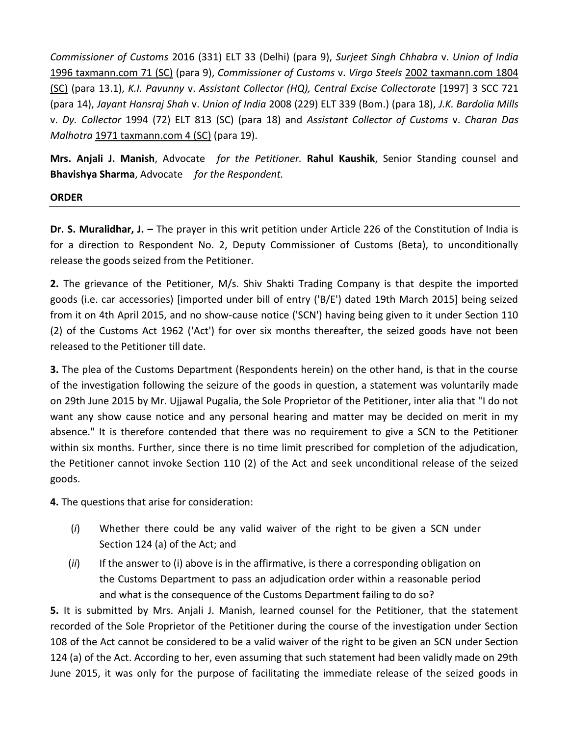*Commissioner of Customs* 2016 (331) ELT 33 (Delhi) (para 9), *Surjeet Singh Chhabra* v. *Union of India*  1996 taxmann.com 71 (SC) (para 9), *Commissioner of Customs* v. *Virgo Steels* 2002 taxmann.com 1804 (SC) (para 13.1), *K.I. Pavunny* v. *Assistant Collector (HQ), Central Excise Collectorate* [1997] 3 SCC 721 (para 14), *Jayant Hansraj Shah* v. *Union of India* 2008 (229) ELT 339 (Bom.) (para 18), *J.K. Bardolia Mills*  v. *Dy. Collector* 1994 (72) ELT 813 (SC) (para 18) and *Assistant Collector of Customs* v. *Charan Das Malhotra* 1971 taxmann.com 4 (SC) (para 19).

**Mrs. Anjali J. Manish**, Advocate *for the Petitioner.* **Rahul Kaushik**, Senior Standing counsel and **Bhavishya Sharma**, Advocate *for the Respondent.*

### **ORDER**

**Dr. S. Muralidhar, J. -** The prayer in this writ petition under Article 226 of the Constitution of India is for a direction to Respondent No. 2, Deputy Commissioner of Customs (Beta), to unconditionally release the goods seized from the Petitioner.

**2.** The grievance of the Petitioner, M/s. Shiv Shakti Trading Company is that despite the imported goods (i.e. car accessories) [imported under bill of entry ('B/E') dated 19th March 2015] being seized from it on 4th April 2015, and no show-cause notice ('SCN') having being given to it under Section 110 (2) of the Customs Act 1962 ('Act') for over six months thereafter, the seized goods have not been released to the Petitioner till date.

**3.** The plea of the Customs Department (Respondents herein) on the other hand, is that in the course of the investigation following the seizure of the goods in question, a statement was voluntarily made on 29th June 2015 by Mr. Ujjawal Pugalia, the Sole Proprietor of the Petitioner, inter alia that "I do not want any show cause notice and any personal hearing and matter may be decided on merit in my absence." It is therefore contended that there was no requirement to give a SCN to the Petitioner within six months. Further, since there is no time limit prescribed for completion of the adjudication, the Petitioner cannot invoke Section 110 (2) of the Act and seek unconditional release of the seized goods.

**4.** The questions that arise for consideration:

- (*i*) Whether there could be any valid waiver of the right to be given a SCN under Section 124 (a) of the Act; and
- (*ii*) If the answer to (i) above is in the affirmative, is there a corresponding obligation on the Customs Department to pass an adjudication order within a reasonable period and what is the consequence of the Customs Department failing to do so?

**5.** It is submitted by Mrs. Anjali J. Manish, learned counsel for the Petitioner, that the statement recorded of the Sole Proprietor of the Petitioner during the course of the investigation under Section 108 of the Act cannot be considered to be a valid waiver of the right to be given an SCN under Section 124 (a) of the Act. According to her, even assuming that such statement had been validly made on 29th June 2015, it was only for the purpose of facilitating the immediate release of the seized goods in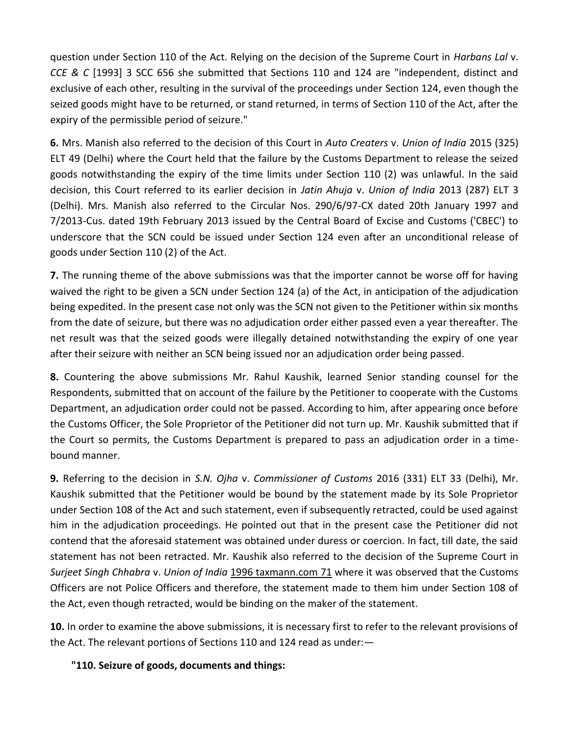question under Section 110 of the Act. Relying on the decision of the Supreme Court in *Harbans Lal* v. *CCE & C* [1993] 3 SCC 656 she submitted that Sections 110 and 124 are "independent, distinct and exclusive of each other, resulting in the survival of the proceedings under Section 124, even though the seized goods might have to be returned, or stand returned, in terms of Section 110 of the Act, after the expiry of the permissible period of seizure."

**6.** Mrs. Manish also referred to the decision of this Court in *Auto Creaters* v. *Union of India* 2015 (325) ELT 49 (Delhi) where the Court held that the failure by the Customs Department to release the seized goods notwithstanding the expiry of the time limits under Section 110 (2) was unlawful. In the said decision, this Court referred to its earlier decision in *Jatin Ahuja* v. *Union of India* 2013 (287) ELT 3 (Delhi). Mrs. Manish also referred to the Circular Nos. 290/6/97-CX dated 20th January 1997 and 7/2013-Cus. dated 19th February 2013 issued by the Central Board of Excise and Customs ('CBEC') to underscore that the SCN could be issued under Section 124 even after an unconditional release of goods under Section 110 (2) of the Act.

**7.** The running theme of the above submissions was that the importer cannot be worse off for having waived the right to be given a SCN under Section 124 (a) of the Act, in anticipation of the adjudication being expedited. In the present case not only was the SCN not given to the Petitioner within six months from the date of seizure, but there was no adjudication order either passed even a year thereafter. The net result was that the seized goods were illegally detained notwithstanding the expiry of one year after their seizure with neither an SCN being issued nor an adjudication order being passed.

**8.** Countering the above submissions Mr. Rahul Kaushik, learned Senior standing counsel for the Respondents, submitted that on account of the failure by the Petitioner to cooperate with the Customs Department, an adjudication order could not be passed. According to him, after appearing once before the Customs Officer, the Sole Proprietor of the Petitioner did not turn up. Mr. Kaushik submitted that if the Court so permits, the Customs Department is prepared to pass an adjudication order in a timebound manner.

**9.** Referring to the decision in *S.N. Ojha* v. *Commissioner of Customs* 2016 (331) ELT 33 (Delhi), Mr. Kaushik submitted that the Petitioner would be bound by the statement made by its Sole Proprietor under Section 108 of the Act and such statement, even if subsequently retracted, could be used against him in the adjudication proceedings. He pointed out that in the present case the Petitioner did not contend that the aforesaid statement was obtained under duress or coercion. In fact, till date, the said statement has not been retracted. Mr. Kaushik also referred to the decision of the Supreme Court in *Surjeet Singh Chhabra* v. *Union of India* 1996 taxmann.com 71 where it was observed that the Customs Officers are not Police Officers and therefore, the statement made to them him under Section 108 of the Act, even though retracted, would be binding on the maker of the statement.

**10.** In order to examine the above submissions, it is necessary first to refer to the relevant provisions of the Act. The relevant portions of Sections 110 and 124 read as under:—

## **"110. Seizure of goods, documents and things:**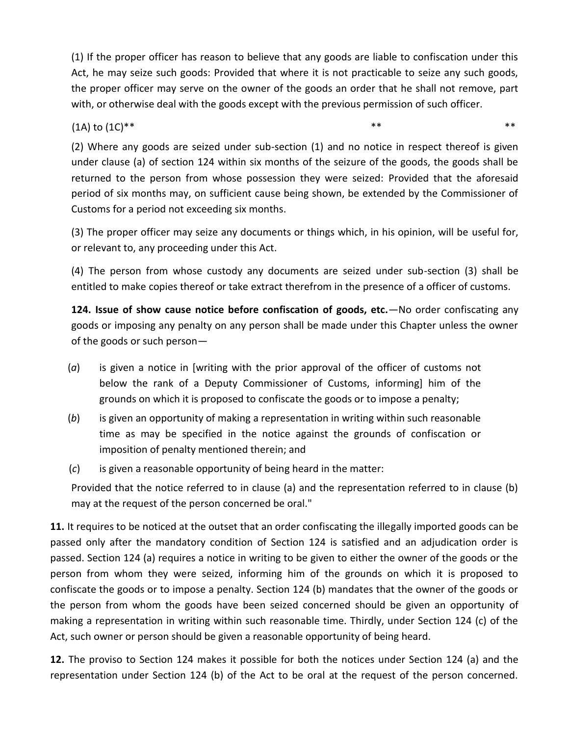(1) If the proper officer has reason to believe that any goods are liable to confiscation under this Act, he may seize such goods: Provided that where it is not practicable to seize any such goods, the proper officer may serve on the owner of the goods an order that he shall not remove, part with, or otherwise deal with the goods except with the previous permission of such officer.

(1A) to  $(1C)^{**}$  \*\* \*\* \*\* \*\*

(2) Where any goods are seized under sub-section (1) and no notice in respect thereof is given under clause (a) of section 124 within six months of the seizure of the goods, the goods shall be returned to the person from whose possession they were seized: Provided that the aforesaid period of six months may, on sufficient cause being shown, be extended by the Commissioner of Customs for a period not exceeding six months.

(3) The proper officer may seize any documents or things which, in his opinion, will be useful for, or relevant to, any proceeding under this Act.

(4) The person from whose custody any documents are seized under sub-section (3) shall be entitled to make copies thereof or take extract therefrom in the presence of a officer of customs.

**124. Issue of show cause notice before confiscation of goods, etc.**—No order confiscating any goods or imposing any penalty on any person shall be made under this Chapter unless the owner of the goods or such person—

- (*a*) is given a notice in [writing with the prior approval of the officer of customs not below the rank of a Deputy Commissioner of Customs, informing] him of the grounds on which it is proposed to confiscate the goods or to impose a penalty;
- (*b*) is given an opportunity of making a representation in writing within such reasonable time as may be specified in the notice against the grounds of confiscation or imposition of penalty mentioned therein; and
- (*c*) is given a reasonable opportunity of being heard in the matter:

Provided that the notice referred to in clause (a) and the representation referred to in clause (b) may at the request of the person concerned be oral."

**11.** It requires to be noticed at the outset that an order confiscating the illegally imported goods can be passed only after the mandatory condition of Section 124 is satisfied and an adjudication order is passed. Section 124 (a) requires a notice in writing to be given to either the owner of the goods or the person from whom they were seized, informing him of the grounds on which it is proposed to confiscate the goods or to impose a penalty. Section 124 (b) mandates that the owner of the goods or the person from whom the goods have been seized concerned should be given an opportunity of making a representation in writing within such reasonable time. Thirdly, under Section 124 (c) of the Act, such owner or person should be given a reasonable opportunity of being heard.

**12.** The proviso to Section 124 makes it possible for both the notices under Section 124 (a) and the representation under Section 124 (b) of the Act to be oral at the request of the person concerned.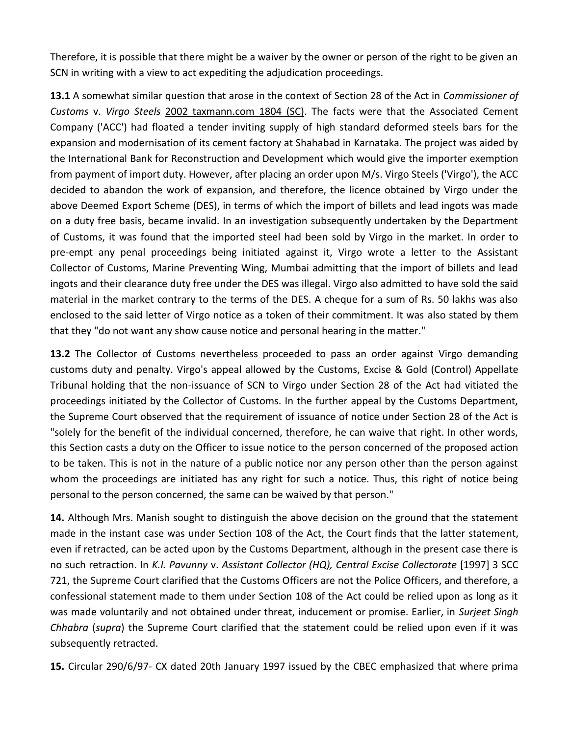Therefore, it is possible that there might be a waiver by the owner or person of the right to be given an SCN in writing with a view to act expediting the adjudication proceedings.

**13.1** A somewhat similar question that arose in the context of Section 28 of the Act in *Commissioner of Customs* v. *Virgo Steels* 2002 taxmann.com 1804 (SC). The facts were that the Associated Cement Company ('ACC') had floated a tender inviting supply of high standard deformed steels bars for the expansion and modernisation of its cement factory at Shahabad in Karnataka. The project was aided by the International Bank for Reconstruction and Development which would give the importer exemption from payment of import duty. However, after placing an order upon M/s. Virgo Steels ('Virgo'), the ACC decided to abandon the work of expansion, and therefore, the licence obtained by Virgo under the above Deemed Export Scheme (DES), in terms of which the import of billets and lead ingots was made on a duty free basis, became invalid. In an investigation subsequently undertaken by the Department of Customs, it was found that the imported steel had been sold by Virgo in the market. In order to pre-empt any penal proceedings being initiated against it, Virgo wrote a letter to the Assistant Collector of Customs, Marine Preventing Wing, Mumbai admitting that the import of billets and lead ingots and their clearance duty free under the DES was illegal. Virgo also admitted to have sold the said material in the market contrary to the terms of the DES. A cheque for a sum of Rs. 50 lakhs was also enclosed to the said letter of Virgo notice as a token of their commitment. It was also stated by them that they "do not want any show cause notice and personal hearing in the matter."

**13.2** The Collector of Customs nevertheless proceeded to pass an order against Virgo demanding customs duty and penalty. Virgo's appeal allowed by the Customs, Excise & Gold (Control) Appellate Tribunal holding that the non-issuance of SCN to Virgo under Section 28 of the Act had vitiated the proceedings initiated by the Collector of Customs. In the further appeal by the Customs Department, the Supreme Court observed that the requirement of issuance of notice under Section 28 of the Act is "solely for the benefit of the individual concerned, therefore, he can waive that right. In other words, this Section casts a duty on the Officer to issue notice to the person concerned of the proposed action to be taken. This is not in the nature of a public notice nor any person other than the person against whom the proceedings are initiated has any right for such a notice. Thus, this right of notice being personal to the person concerned, the same can be waived by that person."

**14.** Although Mrs. Manish sought to distinguish the above decision on the ground that the statement made in the instant case was under Section 108 of the Act, the Court finds that the latter statement, even if retracted, can be acted upon by the Customs Department, although in the present case there is no such retraction. In *K.I. Pavunny* v. *Assistant Collector (HQ), Central Excise Collectorate* [1997] 3 SCC 721, the Supreme Court clarified that the Customs Officers are not the Police Officers, and therefore, a confessional statement made to them under Section 108 of the Act could be relied upon as long as it was made voluntarily and not obtained under threat, inducement or promise. Earlier, in *Surjeet Singh Chhabra* (*supra*) the Supreme Court clarified that the statement could be relied upon even if it was subsequently retracted.

**15.** Circular 290/6/97- CX dated 20th January 1997 issued by the CBEC emphasized that where prima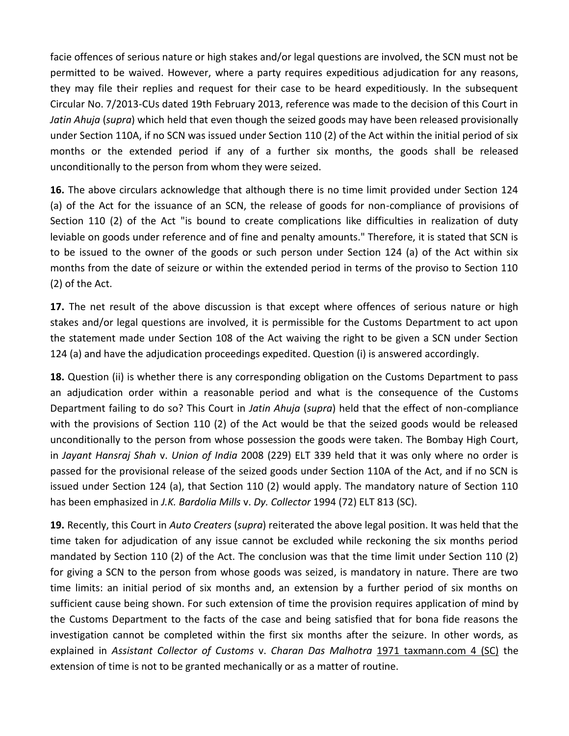facie offences of serious nature or high stakes and/or legal questions are involved, the SCN must not be permitted to be waived. However, where a party requires expeditious adjudication for any reasons, they may file their replies and request for their case to be heard expeditiously. In the subsequent Circular No. 7/2013-CUs dated 19th February 2013, reference was made to the decision of this Court in *Jatin Ahuja* (*supra*) which held that even though the seized goods may have been released provisionally under Section 110A, if no SCN was issued under Section 110 (2) of the Act within the initial period of six months or the extended period if any of a further six months, the goods shall be released unconditionally to the person from whom they were seized.

**16.** The above circulars acknowledge that although there is no time limit provided under Section 124 (a) of the Act for the issuance of an SCN, the release of goods for non-compliance of provisions of Section 110 (2) of the Act "is bound to create complications like difficulties in realization of duty leviable on goods under reference and of fine and penalty amounts." Therefore, it is stated that SCN is to be issued to the owner of the goods or such person under Section 124 (a) of the Act within six months from the date of seizure or within the extended period in terms of the proviso to Section 110 (2) of the Act.

**17.** The net result of the above discussion is that except where offences of serious nature or high stakes and/or legal questions are involved, it is permissible for the Customs Department to act upon the statement made under Section 108 of the Act waiving the right to be given a SCN under Section 124 (a) and have the adjudication proceedings expedited. Question (i) is answered accordingly.

**18.** Question (ii) is whether there is any corresponding obligation on the Customs Department to pass an adjudication order within a reasonable period and what is the consequence of the Customs Department failing to do so? This Court in *Jatin Ahuja* (*supra*) held that the effect of non-compliance with the provisions of Section 110 (2) of the Act would be that the seized goods would be released unconditionally to the person from whose possession the goods were taken. The Bombay High Court, in *Jayant Hansraj Shah* v. *Union of India* 2008 (229) ELT 339 held that it was only where no order is passed for the provisional release of the seized goods under Section 110A of the Act, and if no SCN is issued under Section 124 (a), that Section 110 (2) would apply. The mandatory nature of Section 110 has been emphasized in *J.K. Bardolia Mills* v. *Dy. Collector* 1994 (72) ELT 813 (SC).

**19.** Recently, this Court in *Auto Creaters* (*supra*) reiterated the above legal position. It was held that the time taken for adjudication of any issue cannot be excluded while reckoning the six months period mandated by Section 110 (2) of the Act. The conclusion was that the time limit under Section 110 (2) for giving a SCN to the person from whose goods was seized, is mandatory in nature. There are two time limits: an initial period of six months and, an extension by a further period of six months on sufficient cause being shown. For such extension of time the provision requires application of mind by the Customs Department to the facts of the case and being satisfied that for bona fide reasons the investigation cannot be completed within the first six months after the seizure. In other words, as explained in *Assistant Collector of Customs* v. *Charan Das Malhotra* 1971 taxmann.com 4 (SC) the extension of time is not to be granted mechanically or as a matter of routine.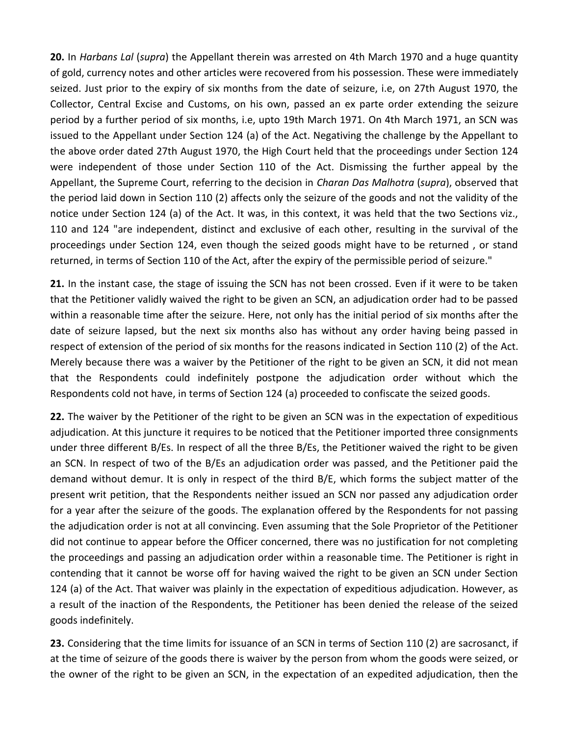**20.** In *Harbans Lal* (*supra*) the Appellant therein was arrested on 4th March 1970 and a huge quantity of gold, currency notes and other articles were recovered from his possession. These were immediately seized. Just prior to the expiry of six months from the date of seizure, i.e, on 27th August 1970, the Collector, Central Excise and Customs, on his own, passed an ex parte order extending the seizure period by a further period of six months, i.e, upto 19th March 1971. On 4th March 1971, an SCN was issued to the Appellant under Section 124 (a) of the Act. Negativing the challenge by the Appellant to the above order dated 27th August 1970, the High Court held that the proceedings under Section 124 were independent of those under Section 110 of the Act. Dismissing the further appeal by the Appellant, the Supreme Court, referring to the decision in *Charan Das Malhotra* (*supra*), observed that the period laid down in Section 110 (2) affects only the seizure of the goods and not the validity of the notice under Section 124 (a) of the Act. It was, in this context, it was held that the two Sections viz., 110 and 124 "are independent, distinct and exclusive of each other, resulting in the survival of the proceedings under Section 124, even though the seized goods might have to be returned , or stand returned, in terms of Section 110 of the Act, after the expiry of the permissible period of seizure."

**21.** In the instant case, the stage of issuing the SCN has not been crossed. Even if it were to be taken that the Petitioner validly waived the right to be given an SCN, an adjudication order had to be passed within a reasonable time after the seizure. Here, not only has the initial period of six months after the date of seizure lapsed, but the next six months also has without any order having being passed in respect of extension of the period of six months for the reasons indicated in Section 110 (2) of the Act. Merely because there was a waiver by the Petitioner of the right to be given an SCN, it did not mean that the Respondents could indefinitely postpone the adjudication order without which the Respondents cold not have, in terms of Section 124 (a) proceeded to confiscate the seized goods.

**22.** The waiver by the Petitioner of the right to be given an SCN was in the expectation of expeditious adjudication. At this juncture it requires to be noticed that the Petitioner imported three consignments under three different B/Es. In respect of all the three B/Es, the Petitioner waived the right to be given an SCN. In respect of two of the B/Es an adjudication order was passed, and the Petitioner paid the demand without demur. It is only in respect of the third B/E, which forms the subject matter of the present writ petition, that the Respondents neither issued an SCN nor passed any adjudication order for a year after the seizure of the goods. The explanation offered by the Respondents for not passing the adjudication order is not at all convincing. Even assuming that the Sole Proprietor of the Petitioner did not continue to appear before the Officer concerned, there was no justification for not completing the proceedings and passing an adjudication order within a reasonable time. The Petitioner is right in contending that it cannot be worse off for having waived the right to be given an SCN under Section 124 (a) of the Act. That waiver was plainly in the expectation of expeditious adjudication. However, as a result of the inaction of the Respondents, the Petitioner has been denied the release of the seized goods indefinitely.

**23.** Considering that the time limits for issuance of an SCN in terms of Section 110 (2) are sacrosanct, if at the time of seizure of the goods there is waiver by the person from whom the goods were seized, or the owner of the right to be given an SCN, in the expectation of an expedited adjudication, then the